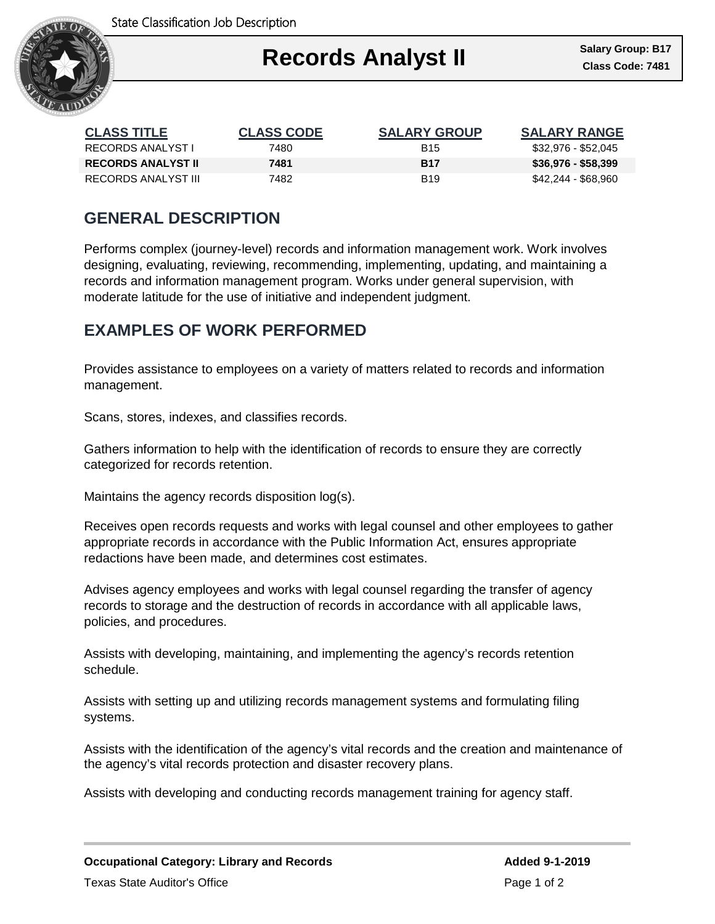

| <b>CLASS TITLE</b>        | <b>CLASS CODE</b> | <b>SALARY GROUP</b> | <b>SALARY RANGE</b> |
|---------------------------|-------------------|---------------------|---------------------|
| RECORDS ANALYST I         | 7480              | B <sub>15</sub>     | \$32,976 - \$52,045 |
| <b>RECORDS ANALYST II</b> | 7481              | <b>B17</b>          | \$36,976 - \$58,399 |
| RECORDS ANALYST III       | 7482              | <b>B</b> 19         | \$42,244 - \$68,960 |

# **GENERAL DESCRIPTION**

Performs complex (journey-level) records and information management work. Work involves designing, evaluating, reviewing, recommending, implementing, updating, and maintaining a records and information management program. Works under general supervision, with moderate latitude for the use of initiative and independent judgment.

## **EXAMPLES OF WORK PERFORMED**

Provides assistance to employees on a variety of matters related to records and information management.

Scans, stores, indexes, and classifies records.

Gathers information to help with the identification of records to ensure they are correctly categorized for records retention.

Maintains the agency records disposition log(s).

Receives open records requests and works with legal counsel and other employees to gather appropriate records in accordance with the Public Information Act, ensures appropriate redactions have been made, and determines cost estimates.

Advises agency employees and works with legal counsel regarding the transfer of agency records to storage and the destruction of records in accordance with all applicable laws, policies, and procedures.

Assists with developing, maintaining, and implementing the agency's records retention schedule.

Assists with setting up and utilizing records management systems and formulating filing systems.

Assists with the identification of the agency's vital records and the creation and maintenance of the agency's vital records protection and disaster recovery plans.

Assists with developing and conducting records management training for agency staff.